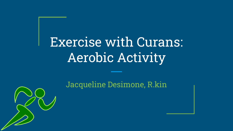## Exercise with Curans: Aerobic Activity

Jacqueline Desimone, R.kin

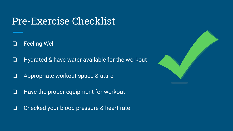### Pre-Exercise Checklist

❏ Feeling Well

❏ Hydrated & have water available for the workout

- ❏ Appropriate workout space & attire
- ❏ Have the proper equipment for workout
- ❏ Checked your blood pressure & heart rate

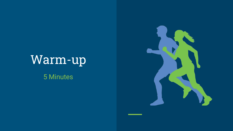## Warm-up 5 Minutes

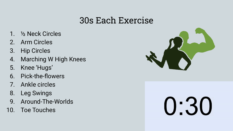#### 30s Each Exercise

- 1. ½ Neck Circles
- 2. Arm Circles
- 3. Hip Circles
- 4. Marching W High Knees
- 5. Knee 'Hugs'
- 6. Pick-the-flowers
- 7. Ankle circles
- 8. Leg Swings
- 9. Around-The-Worlds
- 10. Toe Touches



## 0:30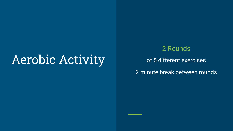## Aerobic Activity

#### 2 Rounds

of 5 different exercises

2 minute break between rounds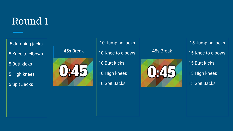## Round 1

5 Jumping jacks

5 Knee to elbows

5 Butt kicks

5 High knees

5 Spit Jacks

## $\begin{array}{c|c|c} 45s \text{ Break} & | & 10 \text{ Knee to elbows} & | & 45s \text{ Break} \end{array}$

#### 10 Jumping jacks

10 Butt kicks

10 High knees

10 Spit Jacks



 15 Jumping jacks 15 Knee to elbows 15 Butt kicks 15 High knees 15 Spit Jacks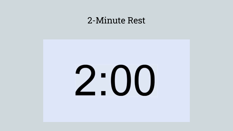#### 2-Minute Rest

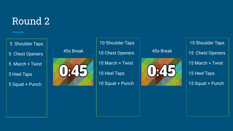### Round 2

5 Shoulder Taps

- 5 Chest Openers
- 5 March + Twist

5 Heel Taps

5 Squat + Punch



#### 10 Shoulder Taps

10 March + Twist

10 Heel Taps

10 Squat + Punch



 15 Shoulder Taps 15 Chest Openers 15 March + Twist 15 Heel Taps 15 Squat + Punch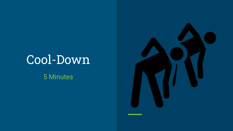## Cool-Down

5 Minutes

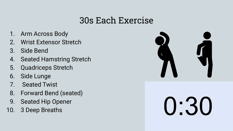#### 30s Each Exercise

- 1. Arm Across Body
- 2. Wrist Extensor Stretch
- 3. Side Bend
- 4. Seated Hamstring Stretch
- 5. Quadriceps Stretch
- 6. Side Lunge
- 7. Seated Twist
- 8. Forward Bend (seated)
- 9. Seated Hip Opener
- 10. 3 Deep Breaths



0:30